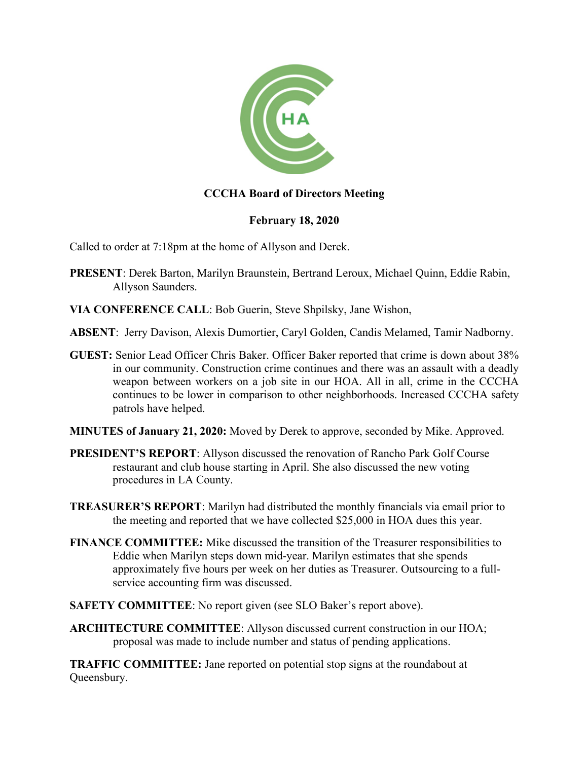

## **CCCHA Board of Directors Meeting**

## **February 18, 2020**

Called to order at 7:18pm at the home of Allyson and Derek.

- **PRESENT**: Derek Barton, Marilyn Braunstein, Bertrand Leroux, Michael Quinn, Eddie Rabin, Allyson Saunders.
- **VIA CONFERENCE CALL**: Bob Guerin, Steve Shpilsky, Jane Wishon,
- **ABSENT**: Jerry Davison, Alexis Dumortier, Caryl Golden, Candis Melamed, Tamir Nadborny.
- **GUEST:** Senior Lead Officer Chris Baker. Officer Baker reported that crime is down about 38% in our community. Construction crime continues and there was an assault with a deadly weapon between workers on a job site in our HOA. All in all, crime in the CCCHA continues to be lower in comparison to other neighborhoods. Increased CCCHA safety patrols have helped.
- **MINUTES of January 21, 2020:** Moved by Derek to approve, seconded by Mike. Approved.
- **PRESIDENT'S REPORT**: Allyson discussed the renovation of Rancho Park Golf Course restaurant and club house starting in April. She also discussed the new voting procedures in LA County.
- **TREASURER'S REPORT**: Marilyn had distributed the monthly financials via email prior to the meeting and reported that we have collected \$25,000 in HOA dues this year.
- **FINANCE COMMITTEE:** Mike discussed the transition of the Treasurer responsibilities to Eddie when Marilyn steps down mid-year. Marilyn estimates that she spends approximately five hours per week on her duties as Treasurer. Outsourcing to a fullservice accounting firm was discussed.
- **SAFETY COMMITTEE**: No report given (see SLO Baker's report above).
- **ARCHITECTURE COMMITTEE**: Allyson discussed current construction in our HOA; proposal was made to include number and status of pending applications.

**TRAFFIC COMMITTEE:** Jane reported on potential stop signs at the roundabout at Queensbury.